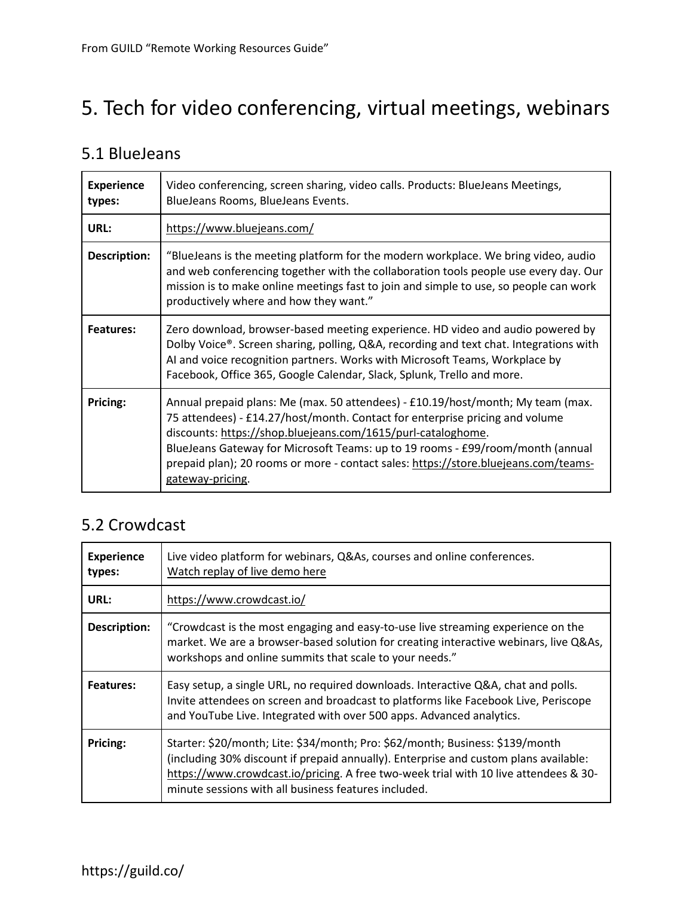# 5. Tech for video conferencing, virtual meetings, webinars

#### 5.1 BlueJeans

| <b>Experience</b><br>types: | Video conferencing, screen sharing, video calls. Products: BlueJeans Meetings,<br>BlueJeans Rooms, BlueJeans Events.                                                                                                                                                                                                                                                                                                         |
|-----------------------------|------------------------------------------------------------------------------------------------------------------------------------------------------------------------------------------------------------------------------------------------------------------------------------------------------------------------------------------------------------------------------------------------------------------------------|
| URL:                        | https://www.bluejeans.com/                                                                                                                                                                                                                                                                                                                                                                                                   |
| Description:                | "BlueJeans is the meeting platform for the modern workplace. We bring video, audio<br>and web conferencing together with the collaboration tools people use every day. Our<br>mission is to make online meetings fast to join and simple to use, so people can work<br>productively where and how they want."                                                                                                                |
| <b>Features:</b>            | Zero download, browser-based meeting experience. HD video and audio powered by<br>Dolby Voice®. Screen sharing, polling, Q&A, recording and text chat. Integrations with<br>AI and voice recognition partners. Works with Microsoft Teams, Workplace by<br>Facebook, Office 365, Google Calendar, Slack, Splunk, Trello and more.                                                                                            |
| Pricing:                    | Annual prepaid plans: Me (max. 50 attendees) - £10.19/host/month; My team (max.<br>75 attendees) - £14.27/host/month. Contact for enterprise pricing and volume<br>discounts: https://shop.bluejeans.com/1615/purl-cataloghome.<br>BlueJeans Gateway for Microsoft Teams: up to 19 rooms - £99/room/month (annual<br>prepaid plan); 20 rooms or more - contact sales: https://store.bluejeans.com/teams-<br>gateway-pricing. |

#### 5.2 Crowdcast

| <b>Experience</b><br>types: | Live video platform for webinars, Q&As, courses and online conferences.<br>Watch replay of live demo here                                                                                                                                                                                                             |
|-----------------------------|-----------------------------------------------------------------------------------------------------------------------------------------------------------------------------------------------------------------------------------------------------------------------------------------------------------------------|
| URL:                        | https://www.crowdcast.io/                                                                                                                                                                                                                                                                                             |
| Description:                | "Crowdcast is the most engaging and easy-to-use live streaming experience on the<br>market. We are a browser-based solution for creating interactive webinars, live Q&As,<br>workshops and online summits that scale to your needs."                                                                                  |
| <b>Features:</b>            | Easy setup, a single URL, no required downloads. Interactive Q&A, chat and polls.<br>Invite attendees on screen and broadcast to platforms like Facebook Live, Periscope<br>and YouTube Live. Integrated with over 500 apps. Advanced analytics.                                                                      |
| Pricing:                    | Starter: \$20/month; Lite: \$34/month; Pro: \$62/month; Business: \$139/month<br>(including 30% discount if prepaid annually). Enterprise and custom plans available:<br>https://www.crowdcast.io/pricing. A free two-week trial with 10 live attendees & 30-<br>minute sessions with all business features included. |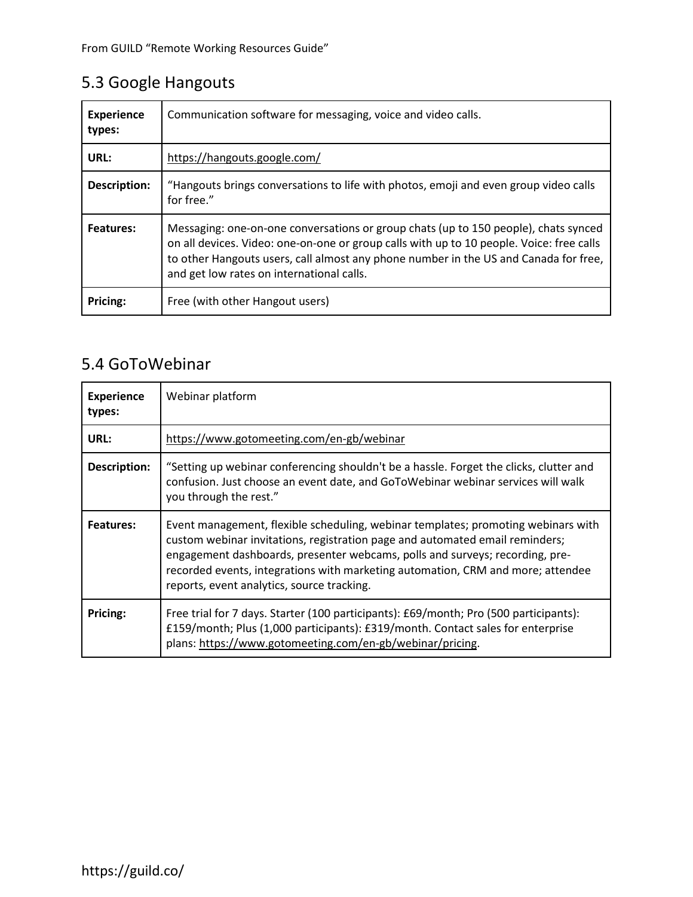## 5.3 Google Hangouts

| <b>Experience</b><br>types: | Communication software for messaging, voice and video calls.                                                                                                                                                                                                                                                         |
|-----------------------------|----------------------------------------------------------------------------------------------------------------------------------------------------------------------------------------------------------------------------------------------------------------------------------------------------------------------|
| URL:                        | https://hangouts.google.com/                                                                                                                                                                                                                                                                                         |
| <b>Description:</b>         | "Hangouts brings conversations to life with photos, emoji and even group video calls<br>for free."                                                                                                                                                                                                                   |
| <b>Features:</b>            | Messaging: one-on-one conversations or group chats (up to 150 people), chats synced<br>on all devices. Video: one-on-one or group calls with up to 10 people. Voice: free calls<br>to other Hangouts users, call almost any phone number in the US and Canada for free,<br>and get low rates on international calls. |
| Pricing:                    | Free (with other Hangout users)                                                                                                                                                                                                                                                                                      |

#### 5.4 GoToWebinar

| <b>Experience</b><br>types: | Webinar platform                                                                                                                                                                                                                                                                                                                                                                   |
|-----------------------------|------------------------------------------------------------------------------------------------------------------------------------------------------------------------------------------------------------------------------------------------------------------------------------------------------------------------------------------------------------------------------------|
| URL:                        | https://www.gotomeeting.com/en-gb/webinar                                                                                                                                                                                                                                                                                                                                          |
| Description:                | "Setting up webinar conferencing shouldn't be a hassle. Forget the clicks, clutter and<br>confusion. Just choose an event date, and GoToWebinar webinar services will walk<br>you through the rest."                                                                                                                                                                               |
| <b>Features:</b>            | Event management, flexible scheduling, webinar templates; promoting webinars with<br>custom webinar invitations, registration page and automated email reminders;<br>engagement dashboards, presenter webcams, polls and surveys; recording, pre-<br>recorded events, integrations with marketing automation, CRM and more; attendee<br>reports, event analytics, source tracking. |
| Pricing:                    | Free trial for 7 days. Starter (100 participants): £69/month; Pro (500 participants):<br>£159/month; Plus (1,000 participants): £319/month. Contact sales for enterprise<br>plans: https://www.gotomeeting.com/en-gb/webinar/pricing.                                                                                                                                              |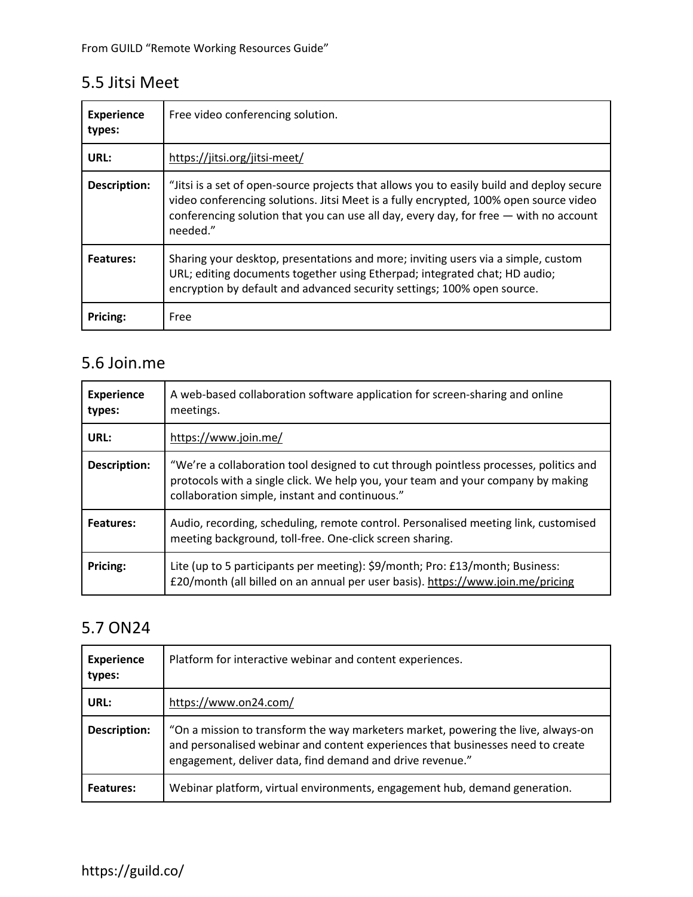### 5.5 Jitsi Meet

| <b>Experience</b><br>types: | Free video conferencing solution.                                                                                                                                                                                                                                                       |
|-----------------------------|-----------------------------------------------------------------------------------------------------------------------------------------------------------------------------------------------------------------------------------------------------------------------------------------|
| URL:                        | https://jitsi.org/jitsi-meet/                                                                                                                                                                                                                                                           |
| <b>Description:</b>         | "Jitsi is a set of open-source projects that allows you to easily build and deploy secure<br>video conferencing solutions. Jitsi Meet is a fully encrypted, 100% open source video<br>conferencing solution that you can use all day, every day, for free — with no account<br>needed." |
| Features:                   | Sharing your desktop, presentations and more; inviting users via a simple, custom<br>URL; editing documents together using Etherpad; integrated chat; HD audio;<br>encryption by default and advanced security settings; 100% open source.                                              |
| Pricing:                    | Free                                                                                                                                                                                                                                                                                    |

#### 5.6 Join.me

| <b>Experience</b><br>types: | A web-based collaboration software application for screen-sharing and online<br>meetings.                                                                                                                                   |
|-----------------------------|-----------------------------------------------------------------------------------------------------------------------------------------------------------------------------------------------------------------------------|
| URL:                        | https://www.join.me/                                                                                                                                                                                                        |
| Description:                | "We're a collaboration tool designed to cut through pointless processes, politics and<br>protocols with a single click. We help you, your team and your company by making<br>collaboration simple, instant and continuous." |
| Features:                   | Audio, recording, scheduling, remote control. Personalised meeting link, customised<br>meeting background, toll-free. One-click screen sharing.                                                                             |
| Pricing:                    | Lite (up to 5 participants per meeting): \$9/month; Pro: £13/month; Business:<br>£20/month (all billed on an annual per user basis). https://www.join.me/pricing                                                            |

### 5.7 ON24

| <b>Experience</b><br>types: | Platform for interactive webinar and content experiences.                                                                                                                                                                         |
|-----------------------------|-----------------------------------------------------------------------------------------------------------------------------------------------------------------------------------------------------------------------------------|
| URL:                        | https://www.on24.com/                                                                                                                                                                                                             |
| <b>Description:</b>         | "On a mission to transform the way marketers market, powering the live, always-on<br>and personalised webinar and content experiences that businesses need to create<br>engagement, deliver data, find demand and drive revenue." |
| <b>Features:</b>            | Webinar platform, virtual environments, engagement hub, demand generation.                                                                                                                                                        |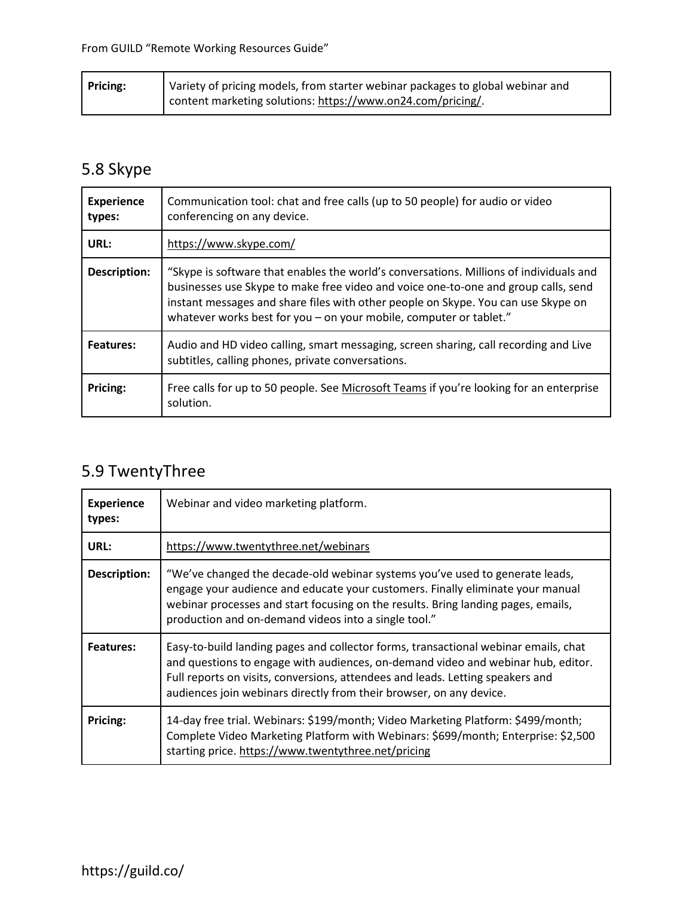| <b>Pricing:</b> | Variety of pricing models, from starter webinar packages to global webinar and |
|-----------------|--------------------------------------------------------------------------------|
|                 | content marketing solutions: https://www.on24.com/pricing/.                    |

## 5.8 Skype

| <b>Experience</b><br>types: | Communication tool: chat and free calls (up to 50 people) for audio or video<br>conferencing on any device.                                                                                                                                                                                                                             |
|-----------------------------|-----------------------------------------------------------------------------------------------------------------------------------------------------------------------------------------------------------------------------------------------------------------------------------------------------------------------------------------|
| URL:                        | https://www.skype.com/                                                                                                                                                                                                                                                                                                                  |
| Description:                | "Skype is software that enables the world's conversations. Millions of individuals and<br>businesses use Skype to make free video and voice one-to-one and group calls, send<br>instant messages and share files with other people on Skype. You can use Skype on<br>whatever works best for you - on your mobile, computer or tablet." |
| <b>Features:</b>            | Audio and HD video calling, smart messaging, screen sharing, call recording and Live<br>subtitles, calling phones, private conversations.                                                                                                                                                                                               |
| Pricing:                    | Free calls for up to 50 people. See Microsoft Teams if you're looking for an enterprise<br>solution.                                                                                                                                                                                                                                    |

## 5.9 TwentyThree

| <b>Experience</b><br>types: | Webinar and video marketing platform.                                                                                                                                                                                                                                                                                            |
|-----------------------------|----------------------------------------------------------------------------------------------------------------------------------------------------------------------------------------------------------------------------------------------------------------------------------------------------------------------------------|
| URL:                        | https://www.twentythree.net/webinars                                                                                                                                                                                                                                                                                             |
| Description:                | "We've changed the decade-old webinar systems you've used to generate leads,<br>engage your audience and educate your customers. Finally eliminate your manual<br>webinar processes and start focusing on the results. Bring landing pages, emails,<br>production and on-demand videos into a single tool."                      |
| <b>Features:</b>            | Easy-to-build landing pages and collector forms, transactional webinar emails, chat<br>and questions to engage with audiences, on-demand video and webinar hub, editor.<br>Full reports on visits, conversions, attendees and leads. Letting speakers and<br>audiences join webinars directly from their browser, on any device. |
| Pricing:                    | 14-day free trial. Webinars: \$199/month; Video Marketing Platform: \$499/month;<br>Complete Video Marketing Platform with Webinars: \$699/month; Enterprise: \$2,500<br>starting price. https://www.twentythree.net/pricing                                                                                                     |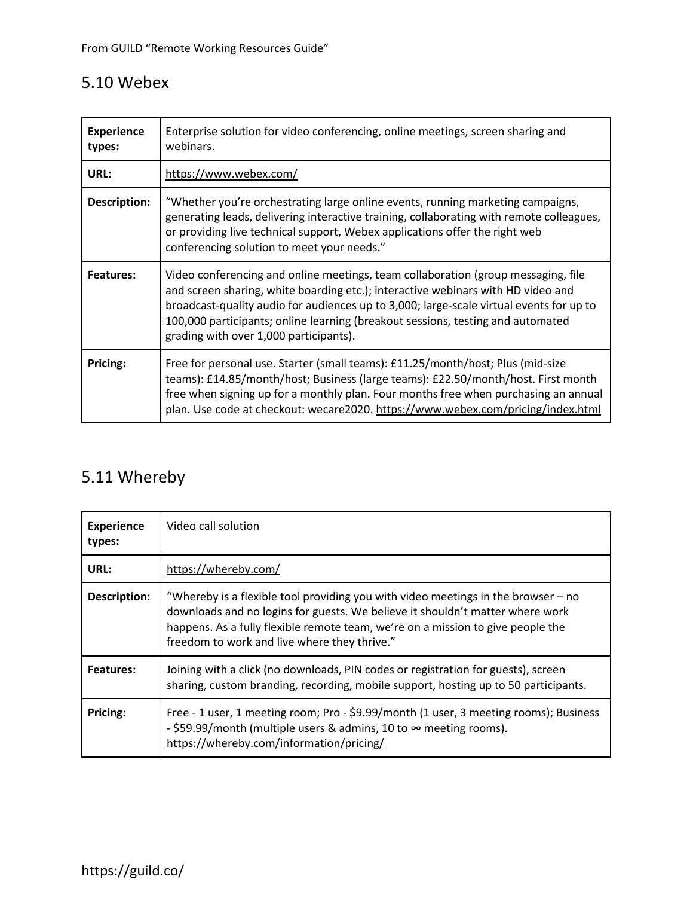### 5.10 Webex

| <b>Experience</b><br>types: | Enterprise solution for video conferencing, online meetings, screen sharing and<br>webinars.                                                                                                                                                                                                                                                                                                  |
|-----------------------------|-----------------------------------------------------------------------------------------------------------------------------------------------------------------------------------------------------------------------------------------------------------------------------------------------------------------------------------------------------------------------------------------------|
| URL:                        | https://www.webex.com/                                                                                                                                                                                                                                                                                                                                                                        |
| <b>Description:</b>         | "Whether you're orchestrating large online events, running marketing campaigns,<br>generating leads, delivering interactive training, collaborating with remote colleagues,<br>or providing live technical support, Webex applications offer the right web<br>conferencing solution to meet your needs."                                                                                      |
| Features:                   | Video conferencing and online meetings, team collaboration (group messaging, file<br>and screen sharing, white boarding etc.); interactive webinars with HD video and<br>broadcast-quality audio for audiences up to 3,000; large-scale virtual events for up to<br>100,000 participants; online learning (breakout sessions, testing and automated<br>grading with over 1,000 participants). |
| Pricing:                    | Free for personal use. Starter (small teams): £11.25/month/host; Plus (mid-size<br>teams): £14.85/month/host; Business (large teams): £22.50/month/host. First month<br>free when signing up for a monthly plan. Four months free when purchasing an annual<br>plan. Use code at checkout: wecare2020. https://www.webex.com/pricing/index.html                                               |

## 5.11 Whereby

| <b>Experience</b><br>types: | Video call solution                                                                                                                                                                                                                                                                                   |
|-----------------------------|-------------------------------------------------------------------------------------------------------------------------------------------------------------------------------------------------------------------------------------------------------------------------------------------------------|
| URL:                        | https://whereby.com/                                                                                                                                                                                                                                                                                  |
| <b>Description:</b>         | "Whereby is a flexible tool providing you with video meetings in the browser – no<br>downloads and no logins for guests. We believe it shouldn't matter where work<br>happens. As a fully flexible remote team, we're on a mission to give people the<br>freedom to work and live where they thrive." |
| Features:                   | Joining with a click (no downloads, PIN codes or registration for guests), screen<br>sharing, custom branding, recording, mobile support, hosting up to 50 participants.                                                                                                                              |
| Pricing:                    | Free - 1 user, 1 meeting room; Pro - \$9.99/month (1 user, 3 meeting rooms); Business<br>- \$59.99/month (multiple users & admins, 10 to $\infty$ meeting rooms).<br>https://whereby.com/information/pricing/                                                                                         |